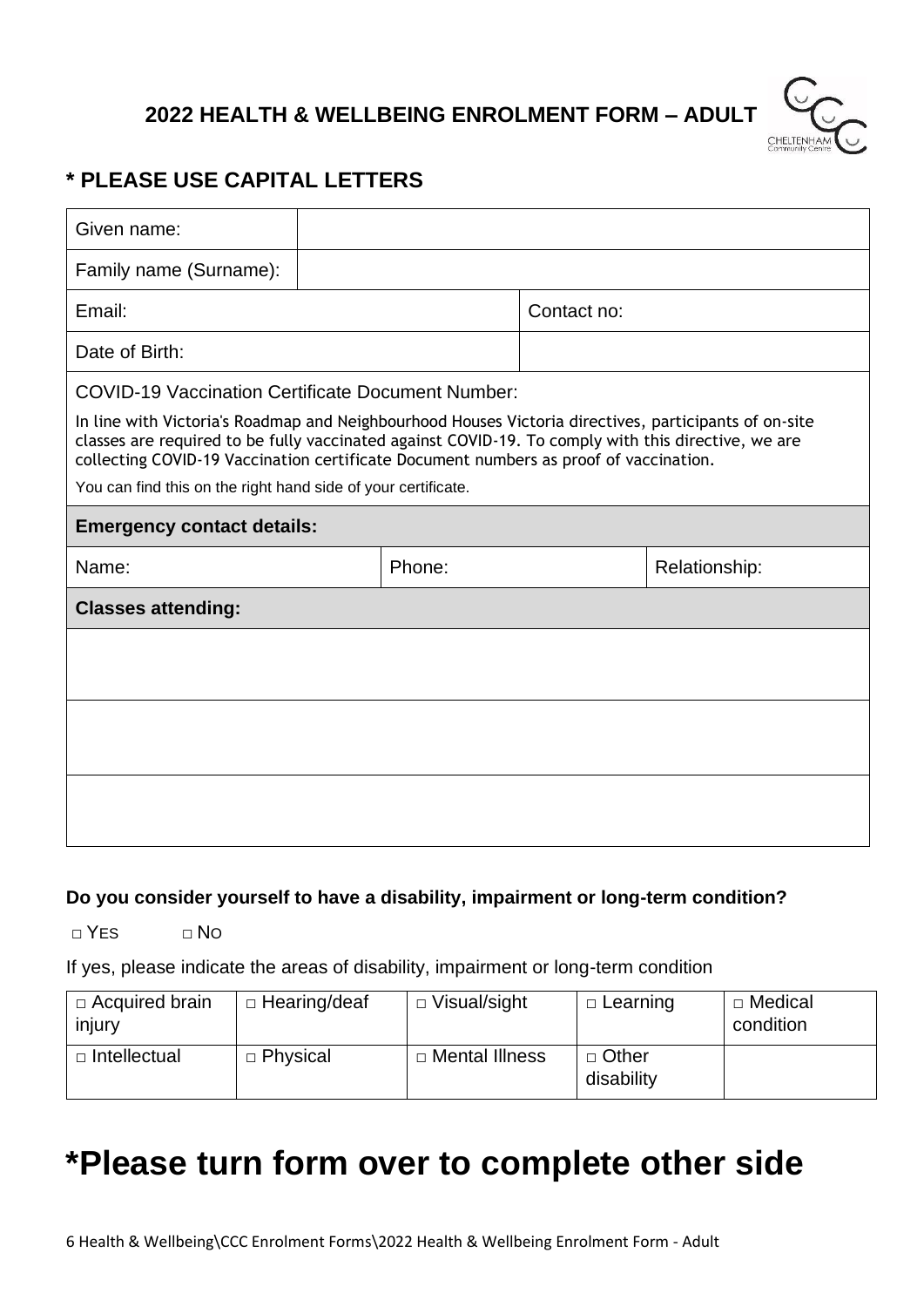## **2022 HEALTH & WELLBEING ENROLMENT FORM – ADULT**



### **\* PLEASE USE CAPITAL LETTERS**

| Given name:                                                                                                                                                                                                                                                                                           |        |  |             |               |  |  |  |
|-------------------------------------------------------------------------------------------------------------------------------------------------------------------------------------------------------------------------------------------------------------------------------------------------------|--------|--|-------------|---------------|--|--|--|
| Family name (Surname):                                                                                                                                                                                                                                                                                |        |  |             |               |  |  |  |
| Email:                                                                                                                                                                                                                                                                                                |        |  | Contact no: |               |  |  |  |
| Date of Birth:                                                                                                                                                                                                                                                                                        |        |  |             |               |  |  |  |
| <b>COVID-19 Vaccination Certificate Document Number:</b>                                                                                                                                                                                                                                              |        |  |             |               |  |  |  |
| In line with Victoria's Roadmap and Neighbourhood Houses Victoria directives, participants of on-site<br>classes are required to be fully vaccinated against COVID-19. To comply with this directive, we are<br>collecting COVID-19 Vaccination certificate Document numbers as proof of vaccination. |        |  |             |               |  |  |  |
| You can find this on the right hand side of your certificate.                                                                                                                                                                                                                                         |        |  |             |               |  |  |  |
| <b>Emergency contact details:</b>                                                                                                                                                                                                                                                                     |        |  |             |               |  |  |  |
| Name:                                                                                                                                                                                                                                                                                                 | Phone: |  |             | Relationship: |  |  |  |
| <b>Classes attending:</b>                                                                                                                                                                                                                                                                             |        |  |             |               |  |  |  |
|                                                                                                                                                                                                                                                                                                       |        |  |             |               |  |  |  |
|                                                                                                                                                                                                                                                                                                       |        |  |             |               |  |  |  |
|                                                                                                                                                                                                                                                                                                       |        |  |             |               |  |  |  |
|                                                                                                                                                                                                                                                                                                       |        |  |             |               |  |  |  |
|                                                                                                                                                                                                                                                                                                       |        |  |             |               |  |  |  |
|                                                                                                                                                                                                                                                                                                       |        |  |             |               |  |  |  |

#### **Do you consider yourself to have a disability, impairment or long-term condition?**

 $\neg Y$ ES  $\neg N$ O

If yes, please indicate the areas of disability, impairment or long-term condition

| $\Box$ Acquired brain<br>injury | $\Box$ Hearing/deaf | □ Visual/sight   | $\Box$ Learning       | □ Medical<br>condition |
|---------------------------------|---------------------|------------------|-----------------------|------------------------|
| □ Intellectual                  | $\Box$ Physical     | □ Mental Illness | □ Other<br>disability |                        |

# **\*Please turn form over to complete other side**